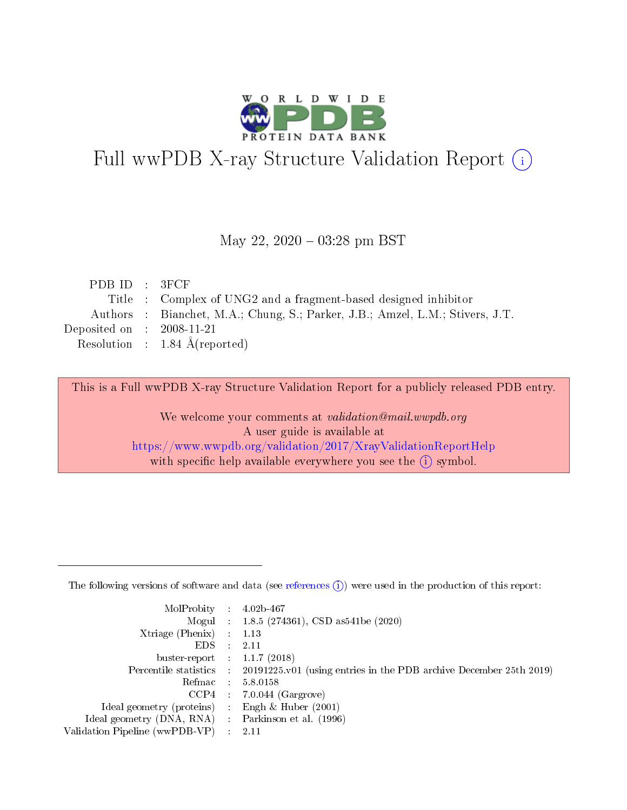

# Full wwPDB X-ray Structure Validation Report (i)

#### May 22,  $2020 - 03:28$  pm BST

| PDBID : 3FCF                         |                                                                               |
|--------------------------------------|-------------------------------------------------------------------------------|
|                                      | Title : Complex of UNG2 and a fragment-based designed inhibitor               |
|                                      | Authors : Bianchet, M.A.; Chung, S.; Parker, J.B.; Amzel, L.M.; Stivers, J.T. |
| Deposited on $\therefore$ 2008-11-21 |                                                                               |
|                                      | Resolution : $1.84 \text{ Å}$ (reported)                                      |

This is a Full wwPDB X-ray Structure Validation Report for a publicly released PDB entry.

We welcome your comments at validation@mail.wwpdb.org A user guide is available at <https://www.wwpdb.org/validation/2017/XrayValidationReportHelp> with specific help available everywhere you see the  $(i)$  symbol.

The following versions of software and data (see [references](https://www.wwpdb.org/validation/2017/XrayValidationReportHelp#references)  $(1)$ ) were used in the production of this report:

| MolProbity :                   |               | $4.02b - 467$                                                               |
|--------------------------------|---------------|-----------------------------------------------------------------------------|
|                                |               | Mogul : $1.8.5$ (274361), CSD as 541be (2020)                               |
| $X$ triage (Phenix) :          |               | 1.13                                                                        |
| EDS.                           |               | 2.11                                                                        |
| buster-report : $1.1.7$ (2018) |               |                                                                             |
| Percentile statistics :        |               | $20191225 \text{v}01$ (using entries in the PDB archive December 25th 2019) |
| Refmac :                       |               | 5.8.0158                                                                    |
| $CCP4$ :                       |               | $7.0.044$ (Gargrove)                                                        |
| Ideal geometry (proteins) :    |               | Engh $\&$ Huber (2001)                                                      |
| Ideal geometry (DNA, RNA) :    |               | Parkinson et al. (1996)                                                     |
| Validation Pipeline (wwPDB-VP) | $\mathcal{L}$ | 2.11                                                                        |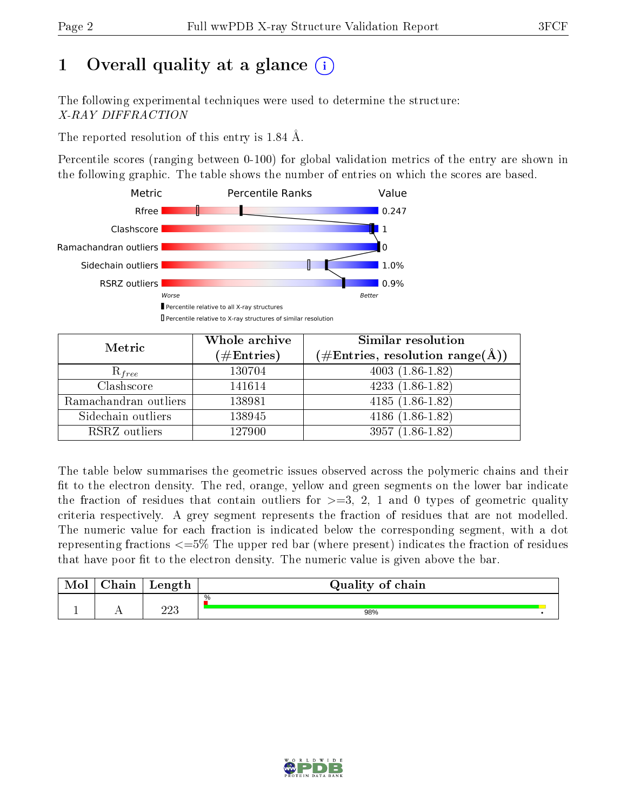# 1 [O](https://www.wwpdb.org/validation/2017/XrayValidationReportHelp#overall_quality)verall quality at a glance  $(i)$

The following experimental techniques were used to determine the structure: X-RAY DIFFRACTION

The reported resolution of this entry is 1.84 Å.

Percentile scores (ranging between 0-100) for global validation metrics of the entry are shown in the following graphic. The table shows the number of entries on which the scores are based.



| Metric                | Whole archive<br>$(\#\text{Entries})$ | <b>Similar resolution</b><br>$(\#\text{Entries}, \text{resolution range}(\text{\AA}))$ |  |  |
|-----------------------|---------------------------------------|----------------------------------------------------------------------------------------|--|--|
| $R_{free}$            | 130704                                | $4003(1.86-1.82)$                                                                      |  |  |
| Clashscore            | 141614                                | $4233(1.86-1.82)$                                                                      |  |  |
| Ramachandran outliers | 138981                                | $4185(1.86-1.82)$                                                                      |  |  |
| Sidechain outliers    | 138945                                | $4186(1.86-1.82)$                                                                      |  |  |
| RSRZ outliers         | 127900                                | $3957(1.86-1.82)$                                                                      |  |  |

The table below summarises the geometric issues observed across the polymeric chains and their fit to the electron density. The red, orange, yellow and green segments on the lower bar indicate the fraction of residues that contain outliers for  $>=3, 2, 1$  and 0 types of geometric quality criteria respectively. A grey segment represents the fraction of residues that are not modelled. The numeric value for each fraction is indicated below the corresponding segment, with a dot representing fractions <=5% The upper red bar (where present) indicates the fraction of residues that have poor fit to the electron density. The numeric value is given above the bar.

| Mol       | $\sim$ 1<br>hain | Length | Quality of chain |  |
|-----------|------------------|--------|------------------|--|
|           |                  | าาา    | %                |  |
| <u>д.</u> | . .              | ചച∪    | 98%              |  |

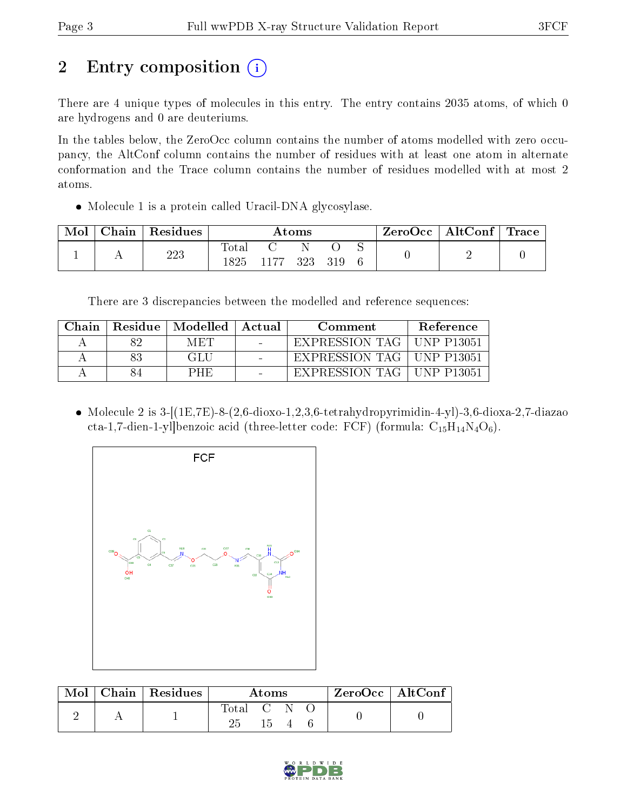# 2 Entry composition  $\left( \cdot \right)$

There are 4 unique types of molecules in this entry. The entry contains 2035 atoms, of which 0 are hydrogens and 0 are deuteriums.

In the tables below, the ZeroOcc column contains the number of atoms modelled with zero occupancy, the AltConf column contains the number of residues with at least one atom in alternate conformation and the Trace column contains the number of residues modelled with at most 2 atoms.

• Molecule 1 is a protein called Uracil-DNA glycosylase.

| Mol | ${\rm Chain}$ | Residues | Atoms               |      |     |     |  | $\text{ZeroOcc} \mid \text{AltConf} \mid \text{Trace}$ |  |
|-----|---------------|----------|---------------------|------|-----|-----|--|--------------------------------------------------------|--|
|     |               | 223      | $\rm Total$<br>1825 | 1177 | 323 | 319 |  | -                                                      |  |
|     |               |          |                     |      |     |     |  |                                                        |  |

There are 3 discrepancies between the modelled and reference sequences:

| Chain |    | Residue   Modelled   Actual | Comment                     | Reference        |
|-------|----|-----------------------------|-----------------------------|------------------|
|       |    | MET                         | EXPRESSION TAG              | UNP P13051       |
|       | 83 | GLU                         | EXPRESSION TAG   UNP P13051 |                  |
|       |    | PHE                         | EXPRESSION TAG              | $\pm$ UNP P13051 |

• Molecule 2 is  $3-[1E,7E)$ -8- $(2,6$ -dioxo-1,2,3,6-tetrahydropyrimidin-4-yl)-3,6-dioxa-2,7-diazao cta-1,7-dien-1-yl]benzoic acid (three-letter code: FCF) (formula:  $C_{15}H_{14}N_4O_6$ ).



|  | Mol   Chain   Residues  <br>Atoms |     |  |  | $\rm ZeroOcc \mid AltConf$ |
|--|-----------------------------------|-----|--|--|----------------------------|
|  | Total C N                         | 15. |  |  |                            |

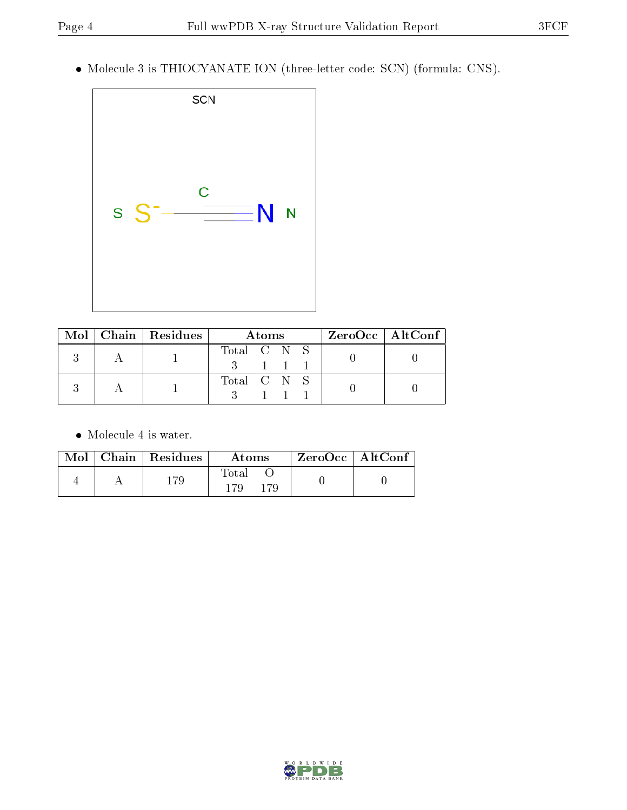Molecule 3 is THIOCYANATE ION (three-letter code: SCN) (formula: CNS).



| Mol∣ | $\mid$ Chain $\mid$ Residues $\mid$ | Atoms                         |  | $ZeroOcc \mid AltConf \mid$ |
|------|-------------------------------------|-------------------------------|--|-----------------------------|
|      |                                     | Total C N S<br>$\blacksquare$ |  |                             |
|      |                                     | Total C N S                   |  |                             |

• Molecule 4 is water.

|  | $Mol$   Chain   Residues | Atoms        | $ZeroOcc$   AltConf |  |
|--|--------------------------|--------------|---------------------|--|
|  | 179                      | Fotal<br>170 |                     |  |

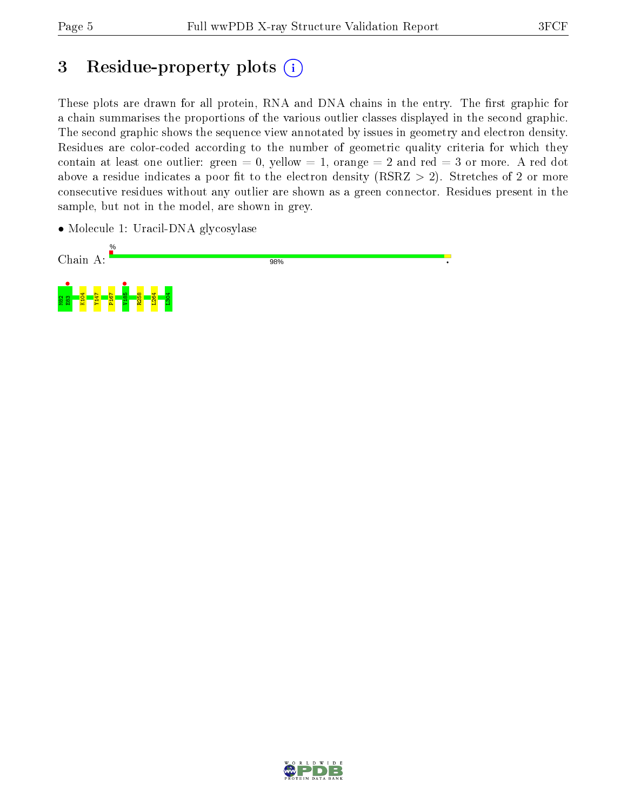# 3 Residue-property plots  $(i)$

These plots are drawn for all protein, RNA and DNA chains in the entry. The first graphic for a chain summarises the proportions of the various outlier classes displayed in the second graphic. The second graphic shows the sequence view annotated by issues in geometry and electron density. Residues are color-coded according to the number of geometric quality criteria for which they contain at least one outlier: green  $= 0$ , yellow  $= 1$ , orange  $= 2$  and red  $= 3$  or more. A red dot above a residue indicates a poor fit to the electron density (RSRZ  $> 2$ ). Stretches of 2 or more consecutive residues without any outlier are shown as a green connector. Residues present in the sample, but not in the model, are shown in grey.

• Molecule 1: Uracil-DNA glycosylase



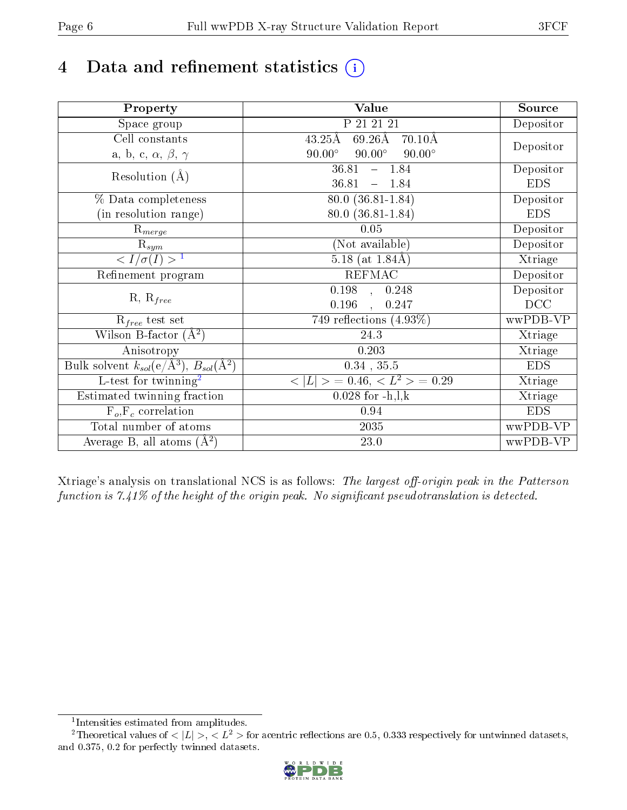# 4 Data and refinement statistics  $(i)$

| Property                                                             | Value                                                       | Source     |
|----------------------------------------------------------------------|-------------------------------------------------------------|------------|
| Space group                                                          | P 21 21 21                                                  | Depositor  |
| Cell constants                                                       | $69.26\text{\AA}$<br>$43.25\text{\AA}$<br>$70.10\text{\AA}$ |            |
| a, b, c, $\alpha$ , $\beta$ , $\gamma$                               | $90.00^\circ$<br>$90.00^\circ$<br>$90.00^\circ$             | Depositor  |
| Resolution $(A)$                                                     | 36.81<br>$-1.84$                                            | Depositor  |
|                                                                      | 36.81<br>$-1.84$                                            | <b>EDS</b> |
| % Data completeness                                                  | 80.0 (36.81-1.84)                                           | Depositor  |
| (in resolution range)                                                | $80.0(36.81 - 1.84)$                                        | <b>EDS</b> |
| $R_{merge}$                                                          | 0.05                                                        | Depositor  |
| $\mathrm{R}_{sym}$                                                   | (Not available)                                             | Depositor  |
| $\sqrt{I/\sigma}(I) > 1$                                             | 5.18 (at $1.84\text{\AA}$ )                                 | Xtriage    |
| Refinement program                                                   | <b>REFMAC</b>                                               | Depositor  |
|                                                                      | $\overline{0.198}$ ,<br>0.248                               | Depositor  |
| $R, R_{free}$                                                        | 0.196<br>0.247                                              | DCC        |
| $R_{free}$ test set                                                  | 749 reflections $(4.93\%)$                                  | wwPDB-VP   |
| Wilson B-factor $(A^2)$                                              | 24.3                                                        | Xtriage    |
| Anisotropy                                                           | 0.203                                                       | Xtriage    |
| Bulk solvent $k_{sol}(e/\mathring{A}^3)$ , $B_{sol}(\mathring{A}^2)$ | $0.34$ , $35.5$                                             | <b>EDS</b> |
| L-test for twinning <sup>2</sup>                                     | $< L >$ = 0.46, $< L2 >$ = 0.29                             | Xtriage    |
| Estimated twinning fraction                                          | $0.028$ for $-h, l, k$                                      | Xtriage    |
| $F_o, F_c$ correlation                                               | 0.94                                                        | <b>EDS</b> |
| Total number of atoms                                                | 2035                                                        | wwPDB-VP   |
| Average B, all atoms $(A^2)$                                         | $23.0\,$                                                    | wwPDB-VP   |

Xtriage's analysis on translational NCS is as follows: The largest off-origin peak in the Patterson function is  $7.41\%$  of the height of the origin peak. No significant pseudotranslation is detected.

<sup>&</sup>lt;sup>2</sup>Theoretical values of  $\langle |L| \rangle$ ,  $\langle L^2 \rangle$  for acentric reflections are 0.5, 0.333 respectively for untwinned datasets, and 0.375, 0.2 for perfectly twinned datasets.



<span id="page-5-1"></span><span id="page-5-0"></span><sup>1</sup> Intensities estimated from amplitudes.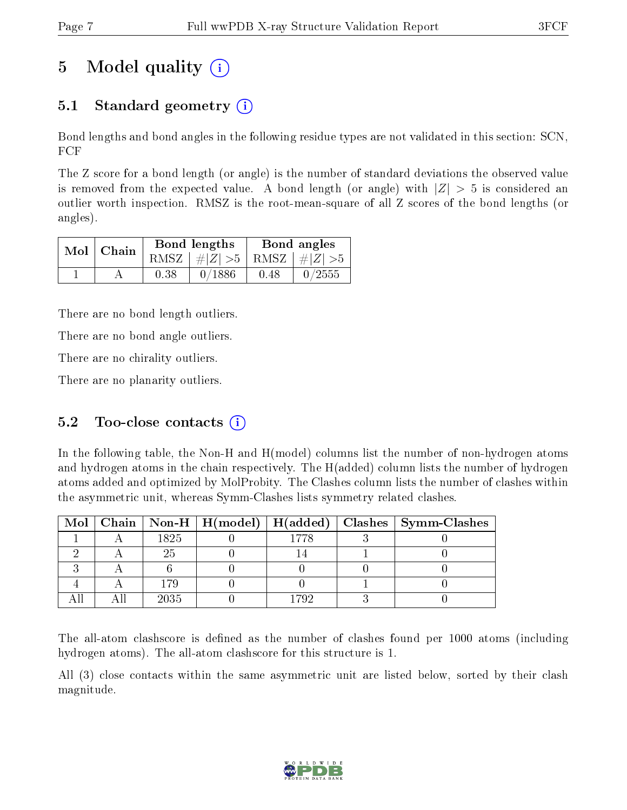# 5 Model quality  $(i)$

# 5.1 Standard geometry  $\overline{()}$

Bond lengths and bond angles in the following residue types are not validated in this section: SCN, FCF

The Z score for a bond length (or angle) is the number of standard deviations the observed value is removed from the expected value. A bond length (or angle) with  $|Z| > 5$  is considered an outlier worth inspection. RMSZ is the root-mean-square of all Z scores of the bond lengths (or angles).

|  | $Mol$   Chain |      | Bond lengths                    | Bond angles |        |  |
|--|---------------|------|---------------------------------|-------------|--------|--|
|  |               |      | RMSZ $ #Z  > 5$ RMSZ $ #Z  > 5$ |             |        |  |
|  |               | 0.38 | 0/1886                          | 0.48        | 0/2555 |  |

There are no bond length outliers.

There are no bond angle outliers.

There are no chirality outliers.

There are no planarity outliers.

### 5.2 Too-close contacts  $(i)$

In the following table, the Non-H and H(model) columns list the number of non-hydrogen atoms and hydrogen atoms in the chain respectively. The H(added) column lists the number of hydrogen atoms added and optimized by MolProbity. The Clashes column lists the number of clashes within the asymmetric unit, whereas Symm-Clashes lists symmetry related clashes.

|  |       |      | Mol   Chain   Non-H   H(model)   H(added)   Clashes   Symm-Clashes |
|--|-------|------|--------------------------------------------------------------------|
|  | 1825  | 1778 |                                                                    |
|  | 25    |      |                                                                    |
|  |       |      |                                                                    |
|  | 1 7 Q |      |                                                                    |
|  | 2035  | 1792 |                                                                    |

The all-atom clashscore is defined as the number of clashes found per 1000 atoms (including hydrogen atoms). The all-atom clashscore for this structure is 1.

All (3) close contacts within the same asymmetric unit are listed below, sorted by their clash magnitude.

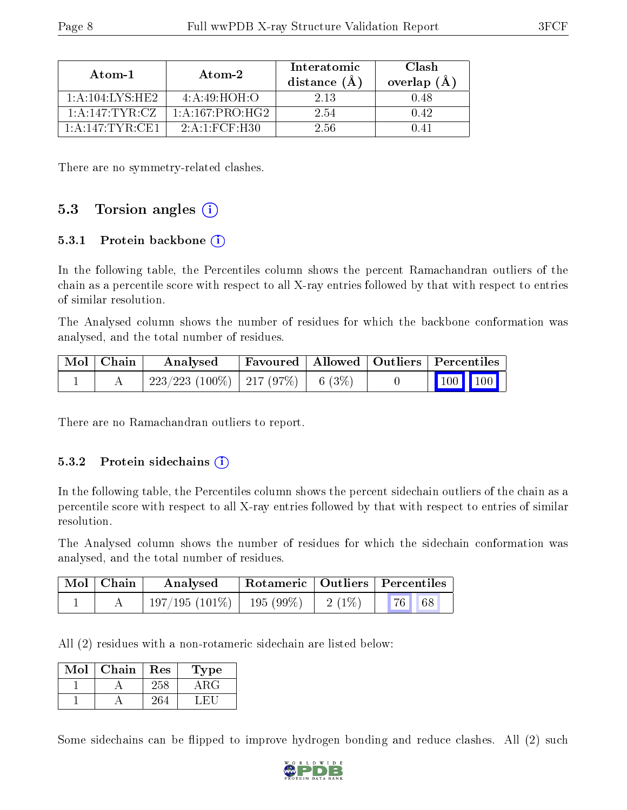| Atom-1              | Atom-2            | Interatomic<br>distance $(A^{\dagger})$ | Clash<br>overlap (Å |
|---------------------|-------------------|-----------------------------------------|---------------------|
| 1: A: 104: INS: HE2 | 4: A:49: HOH:O    | 2 13                                    |                     |
| 1:A:147:TYR:CZ      | 1: A:167: PRO:HG2 | 2.54                                    | 0.42                |
| $1:$ A:147:TYR:CE1  | 2:A:1:FCF:H30     | 2.56                                    |                     |

There are no symmetry-related clashes.

## 5.3 Torsion angles (i)

#### 5.3.1 Protein backbone  $(i)$

In the following table, the Percentiles column shows the percent Ramachandran outliers of the chain as a percentile score with respect to all X-ray entries followed by that with respect to entries of similar resolution.

The Analysed column shows the number of residues for which the backbone conformation was analysed, and the total number of residues.

| $\mid$ Mol $\mid$ Chain $\mid$ | Analysed                            | Favoured   Allowed   Outliers   Percentiles |  |  |                                                                           |
|--------------------------------|-------------------------------------|---------------------------------------------|--|--|---------------------------------------------------------------------------|
|                                | 223/223 (100%)   217 (97%)   6 (3%) |                                             |  |  | $\begin{array}{ c c c c c c }\n\hline\n100 & 100 & \\\hline\n\end{array}$ |

There are no Ramachandran outliers to report.

#### 5.3.2 Protein sidechains  $(i)$

In the following table, the Percentiles column shows the percent sidechain outliers of the chain as a percentile score with respect to all X-ray entries followed by that with respect to entries of similar resolution.

The Analysed column shows the number of residues for which the sidechain conformation was analysed, and the total number of residues.

| $Mol$   Chain | Analysed                    |          | Rotameric   Outliers   Percentiles |  |
|---------------|-----------------------------|----------|------------------------------------|--|
|               | $197/195(101\%)$ 195 (99\%) | $2(1\%)$ | 76 <br>68                          |  |

All (2) residues with a non-rotameric sidechain are listed below:

| Mol | ${\bf Chain}$ | Res | Type |
|-----|---------------|-----|------|
|     |               |     |      |
|     |               |     |      |

Some sidechains can be flipped to improve hydrogen bonding and reduce clashes. All (2) such

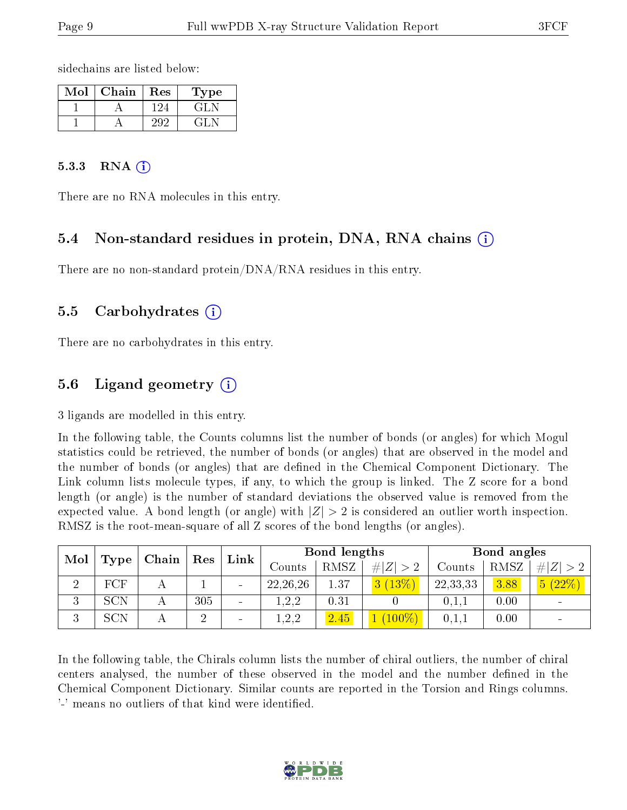sidechains are listed below:

| Mol | Chain | Res         | Type |
|-----|-------|-------------|------|
|     |       | $\cdot$ 24. | - 17 |
|     |       | ツリター        |      |

#### 5.3.3 RNA  $(i)$

There are no RNA molecules in this entry.

#### 5.4 Non-standard residues in protein, DNA, RNA chains  $(i)$

There are no non-standard protein/DNA/RNA residues in this entry.

#### 5.5 Carbohydrates  $(i)$

There are no carbohydrates in this entry.

### 5.6 Ligand geometry  $(i)$

3 ligands are modelled in this entry.

In the following table, the Counts columns list the number of bonds (or angles) for which Mogul statistics could be retrieved, the number of bonds (or angles) that are observed in the model and the number of bonds (or angles) that are defined in the Chemical Component Dictionary. The Link column lists molecule types, if any, to which the group is linked. The Z score for a bond length (or angle) is the number of standard deviations the observed value is removed from the expected value. A bond length (or angle) with  $|Z| > 2$  is considered an outlier worth inspection. RMSZ is the root-mean-square of all Z scores of the bond lengths (or angles).

| Mol<br>Type |     | $\Box$ Chain $\Box$ | Res            | Link                     | Bond lengths      |      |             | Bond angles |      |        |
|-------------|-----|---------------------|----------------|--------------------------|-------------------|------|-------------|-------------|------|--------|
|             |     |                     |                |                          | $\mathrm{Counts}$ | RMSZ | # $ Z  > 2$ | Counts      | RMSZ | H Z    |
| $\Omega$    | FCF |                     |                | $\sim$                   | 22, 26, 26        | 1.37 | 3(13%)      | 22,33,33    | 3.88 | 5(22%) |
| 2<br>Ð      | SCN |                     | 305            | $\sim$                   | 2,2               | 0.31 |             | $0.1.1\,$   | 0.00 |        |
| Ð           | SCN |                     | $\overline{2}$ | $\overline{\phantom{a}}$ | 1,2,2             | 2.45 | $(100\%)$   | 0,1,1       | 0.00 |        |

In the following table, the Chirals column lists the number of chiral outliers, the number of chiral centers analysed, the number of these observed in the model and the number defined in the Chemical Component Dictionary. Similar counts are reported in the Torsion and Rings columns. '-' means no outliers of that kind were identified.

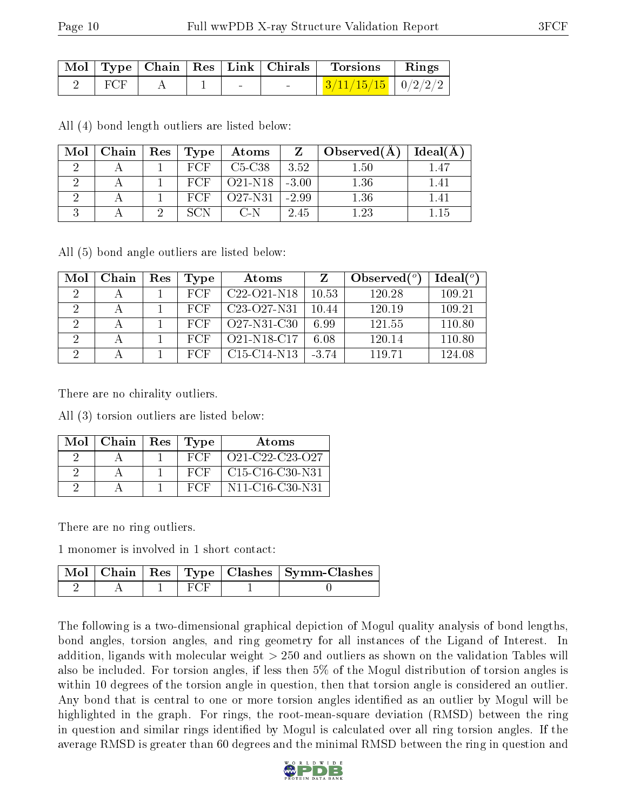|     |  |   |        | $\mid$ Mol $\mid$ Type $\mid$ Chain $\mid$ Res $\mid$ Link $\mid$ Chirals $\mid$ Torsions | Rings |
|-----|--|---|--------|-------------------------------------------------------------------------------------------|-------|
| FCF |  | - | $\sim$ | $\mid 3/11/15/15 \mid 0/2/2/2 \mid$                                                       |       |

All (4) bond length outliers are listed below:

| Mol | Chain | $\operatorname{Res}$ | Type | Atoms    | Z       | Observed $(A)$ | Ideal(A) |
|-----|-------|----------------------|------|----------|---------|----------------|----------|
|     |       |                      | FCF  | $C5-C38$ | 3.52    | $1.50\,$       |          |
|     |       |                      | FCF  | O21-N18  | $-3.00$ | $1.36\,$       |          |
|     |       |                      | FCF  | Q27-N31  | $-2.99$ | $1.36\,$       |          |
|     |       | റ                    |      |          | 2.45    | . 23           |          |

All (5) bond angle outliers are listed below:

| Mol | Chain | Res | Type | Atoms                                             |         | Observed $(^\circ)$ | Ideal(°) |
|-----|-------|-----|------|---------------------------------------------------|---------|---------------------|----------|
|     |       |     | FCF  | $C22-O21-N18$                                     | 10.53   | 120.28              | 109.21   |
|     |       |     | FCF  | C <sub>23</sub> -O <sub>27</sub> -N <sub>31</sub> | 10.44   | 120.19              | 109.21   |
|     |       |     | FCF  | O27-N31-C30                                       | 6.99    | 121.55              | 110.80   |
|     |       |     | FCF  | O21-N18-C17                                       | 6.08    | 120.14              | 110.80   |
|     |       |     | FCF  | $C15-C14-N13$                                     | $-3.74$ | 119.71              | 124.08   |

There are no chirality outliers.

All (3) torsion outliers are listed below:

| Mol | Chain | $Res \vert$ | Type | Atoms                                                              |
|-----|-------|-------------|------|--------------------------------------------------------------------|
|     |       |             | FCF  | $O21-C22-C23-C27$                                                  |
|     |       |             | FCF  | $C15-C16-C30-N31$                                                  |
|     |       |             | FCF  | N <sub>11</sub> -C <sub>16</sub> -C <sub>30</sub> -N <sub>31</sub> |

There are no ring outliers.

1 monomer is involved in 1 short contact:

|  |  | Mol   Chain   Res   Type   Clashes   Symm-Clashes |
|--|--|---------------------------------------------------|
|  |  |                                                   |

The following is a two-dimensional graphical depiction of Mogul quality analysis of bond lengths, bond angles, torsion angles, and ring geometry for all instances of the Ligand of Interest. In addition, ligands with molecular weight > 250 and outliers as shown on the validation Tables will also be included. For torsion angles, if less then 5% of the Mogul distribution of torsion angles is within 10 degrees of the torsion angle in question, then that torsion angle is considered an outlier. Any bond that is central to one or more torsion angles identified as an outlier by Mogul will be highlighted in the graph. For rings, the root-mean-square deviation (RMSD) between the ring in question and similar rings identified by Mogul is calculated over all ring torsion angles. If the average RMSD is greater than 60 degrees and the minimal RMSD between the ring in question and

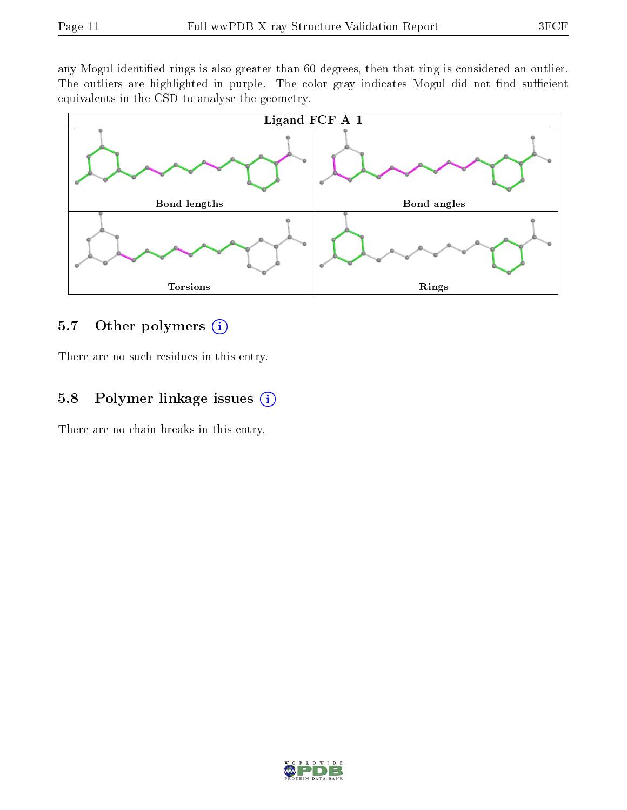any Mogul-identified rings is also greater than 60 degrees, then that ring is considered an outlier. The outliers are highlighted in purple. The color gray indicates Mogul did not find sufficient equivalents in the CSD to analyse the geometry.



## 5.7 [O](https://www.wwpdb.org/validation/2017/XrayValidationReportHelp#nonstandard_residues_and_ligands)ther polymers  $(i)$

There are no such residues in this entry.

### 5.8 Polymer linkage issues (i)

There are no chain breaks in this entry.

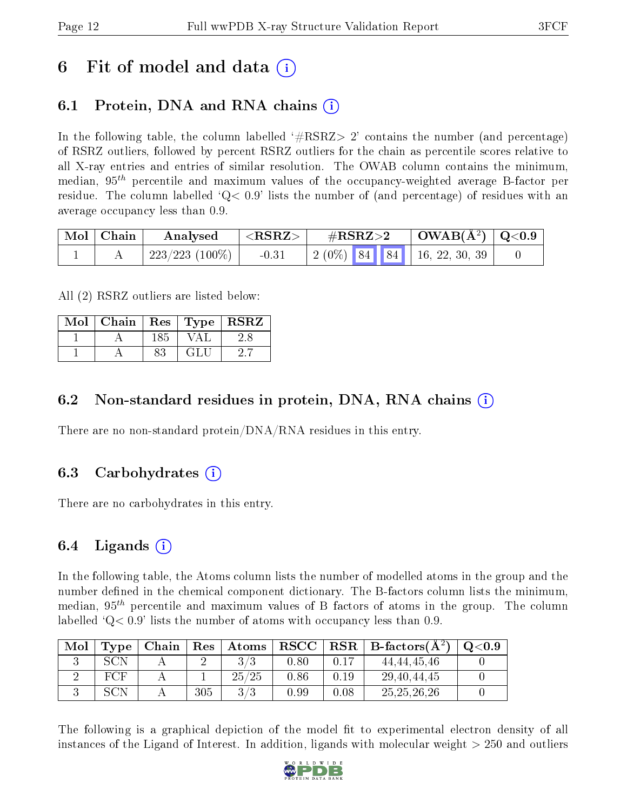# 6 Fit of model and data  $\left( \cdot \right)$

# 6.1 Protein, DNA and RNA chains (i)

In the following table, the column labelled  $#RSRZ>2'$  contains the number (and percentage) of RSRZ outliers, followed by percent RSRZ outliers for the chain as percentile scores relative to all X-ray entries and entries of similar resolution. The OWAB column contains the minimum, median,  $95<sup>th</sup>$  percentile and maximum values of the occupancy-weighted average B-factor per residue. The column labelled  $Q< 0.9$  lists the number of (and percentage) of residues with an average occupancy less than 0.9.

| Mol | Chain | Analysed             | ${ <\bf RSRZ} { >}$ | $\#\text{RSRZ}\text{>2}$           | $\mid$ OWAB(Å <sup>2</sup> ) $\mid$ Q<0.9 |  |
|-----|-------|----------------------|---------------------|------------------------------------|-------------------------------------------|--|
|     |       | $\pm 223/223$ (100%) | $-0.31$             | $\mid$ 2 (0%) 84 84 16, 22, 30, 39 |                                           |  |

All (2) RSRZ outliers are listed below:

| Mol | Chain |     |              | Res   Type   RSRZ |
|-----|-------|-----|--------------|-------------------|
|     |       | 185 |              |                   |
|     |       |     | $\mathbf{G}$ |                   |

### 6.2 Non-standard residues in protein, DNA, RNA chains  $(i)$

There are no non-standard protein/DNA/RNA residues in this entry.

## 6.3 Carbohydrates (i)

There are no carbohydrates in this entry.

## 6.4 Ligands  $(i)$

In the following table, the Atoms column lists the number of modelled atoms in the group and the number defined in the chemical component dictionary. The B-factors column lists the minimum, median,  $95<sup>th</sup>$  percentile and maximum values of B factors of atoms in the group. The column labelled  $Q < 0.9$  lists the number of atoms with occupancy less than 0.9.

| Mol | Type | Chain | Res | Atoms | RSCC |      | $\parallel$ RSR $\parallel$ B-factors( $\rm \AA^2)$ ) | Q <sub>0.9</sub> |
|-----|------|-------|-----|-------|------|------|-------------------------------------------------------|------------------|
|     |      |       |     |       | 0.80 | 0.17 | 44, 44, 45, 46                                        |                  |
|     | FCF  |       |     | 25/25 | 0.86 | 0.19 | 29, 40, 44, 45                                        |                  |
|     |      |       | 305 |       | 0.99 | 0.08 | 25, 25, 26, 26                                        |                  |

The following is a graphical depiction of the model fit to experimental electron density of all instances of the Ligand of Interest. In addition, ligands with molecular weight  $> 250$  and outliers